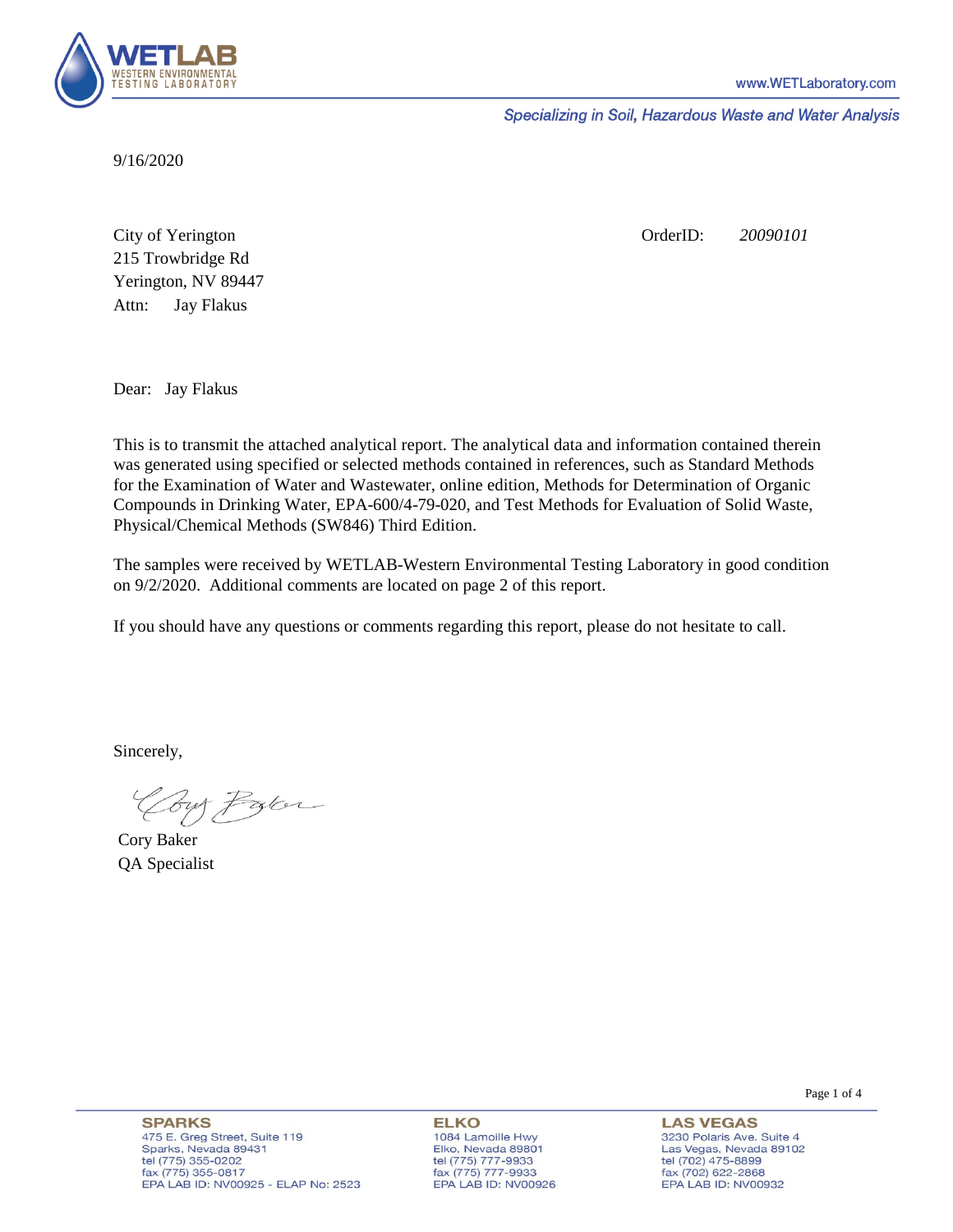

Specializing in Soil, Hazardous Waste and Water Analysis

9/16/2020

Attn: City of Yerington 215 Trowbridge Rd Jay Flakus Yerington, NV 89447 OrderID: *20090101*

Dear: Jay Flakus

This is to transmit the attached analytical report. The analytical data and information contained therein was generated using specified or selected methods contained in references, such as Standard Methods for the Examination of Water and Wastewater, online edition, Methods for Determination of Organic Compounds in Drinking Water, EPA-600/4-79-020, and Test Methods for Evaluation of Solid Waste, Physical/Chemical Methods (SW846) Third Edition.

The samples were received by WETLAB-Western Environmental Testing Laboratory in good condition on 9/2/2020. Additional comments are located on page 2 of this report.

If you should have any questions or comments regarding this report, please do not hesitate to call.

Sincerely,

Coy Palor

Cory Baker QA Specialist

**ELKO** 1084 Lamoille Hwy Elko, Nevada 89801 tel (775) 777-9933<br>fax (775) 777-9933 EPA LAB ID: NV00926

**LAS VEGAS** 3230 Polaris Ave. Suite 4 Las Vegas, Nevada 89102 tel (702) 475-8899 fax (702) 622-2868 EPA LAB ID: NV00932

Page 1 of 4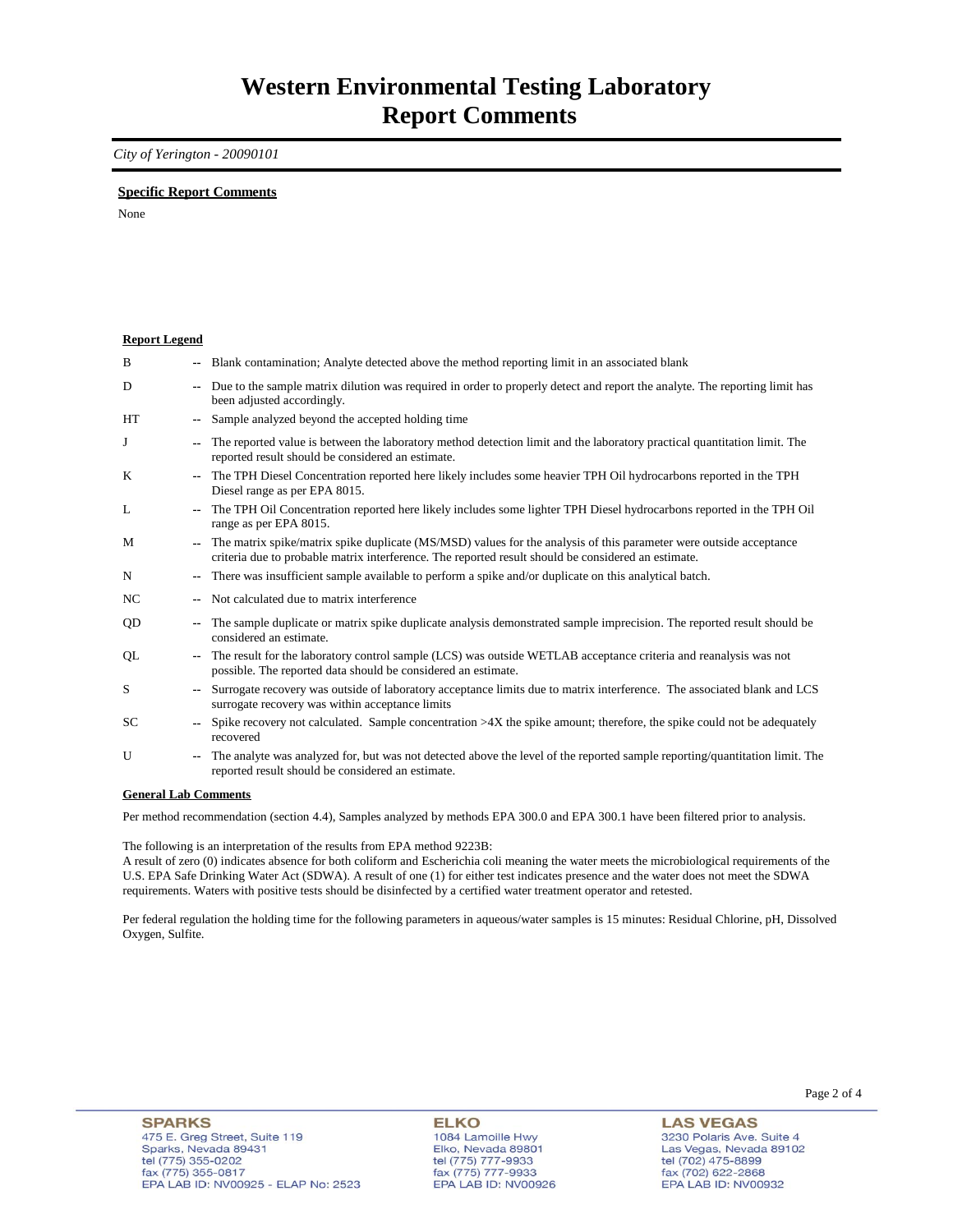### *City of Yerington - 20090101*

### **Specific Report Comments**

None

| <b>Report Legend</b> |                          |                                                                                                                                                                                                                           |
|----------------------|--------------------------|---------------------------------------------------------------------------------------------------------------------------------------------------------------------------------------------------------------------------|
| B                    |                          | -- Blank contamination; Analyte detected above the method reporting limit in an associated blank                                                                                                                          |
| D                    | ۰.                       | Due to the sample matrix dilution was required in order to properly detect and report the analyte. The reporting limit has<br>been adjusted accordingly.                                                                  |
| HT                   | ۰.                       | Sample analyzed beyond the accepted holding time                                                                                                                                                                          |
| J                    | --                       | The reported value is between the laboratory method detection limit and the laboratory practical quantitation limit. The<br>reported result should be considered an estimate.                                             |
| K                    | $\overline{\phantom{a}}$ | The TPH Diesel Concentration reported here likely includes some heavier TPH Oil hydrocarbons reported in the TPH<br>Diesel range as per EPA 8015.                                                                         |
| L                    | $- -$                    | The TPH Oil Concentration reported here likely includes some lighter TPH Diesel hydrocarbons reported in the TPH Oil<br>range as per EPA 8015.                                                                            |
| M                    | ۰.                       | The matrix spike/matrix spike duplicate (MS/MSD) values for the analysis of this parameter were outside acceptance<br>criteria due to probable matrix interference. The reported result should be considered an estimate. |
| N                    | ۰.                       | There was insufficient sample available to perform a spike and/or duplicate on this analytical batch.                                                                                                                     |
| NC                   |                          | Not calculated due to matrix interference                                                                                                                                                                                 |
| QD                   | --                       | The sample duplicate or matrix spike duplicate analysis demonstrated sample imprecision. The reported result should be<br>considered an estimate.                                                                         |
| QL                   | $\sim$                   | The result for the laboratory control sample (LCS) was outside WETLAB acceptance criteria and reanalysis was not<br>possible. The reported data should be considered an estimate.                                         |
| S                    | $-1$                     | Surrogate recovery was outside of laboratory acceptance limits due to matrix interference. The associated blank and LCS<br>surrogate recovery was within acceptance limits                                                |
| <b>SC</b>            | $\sim$                   | Spike recovery not calculated. Sample concentration $>4X$ the spike amount; therefore, the spike could not be adequately<br>recovered                                                                                     |
| U                    | ۰.                       | The analyte was analyzed for, but was not detected above the level of the reported sample reporting/quantitation limit. The<br>reported result should be considered an estimate.                                          |
| $\sim$               |                          | $\mathbf{r}$ $\alpha$                                                                                                                                                                                                     |

#### **General Lab Comments**

Per method recommendation (section 4.4), Samples analyzed by methods EPA 300.0 and EPA 300.1 have been filtered prior to analysis.

The following is an interpretation of the results from EPA method 9223B:

A result of zero (0) indicates absence for both coliform and Escherichia coli meaning the water meets the microbiological requirements of the U.S. EPA Safe Drinking Water Act (SDWA). A result of one (1) for either test indicates presence and the water does not meet the SDWA requirements. Waters with positive tests should be disinfected by a certified water treatment operator and retested.

Per federal regulation the holding time for the following parameters in aqueous/water samples is 15 minutes: Residual Chlorine, pH, Dissolved Oxygen, Sulfite.

**ELKO** 1084 Lamoille Hwy Elko, Nevada 89801 tel (775) 777-9933<br>fax (775) 777-9933 EPA LAB ID: NV00926

**LAS VEGAS** 3230 Polaris Ave. Suite 4 Las Vegas, Nevada 89102 tel (702) 475-8899<br>fax (702) 622-2868 EPA LAB ID: NV00932

Page 2 of 4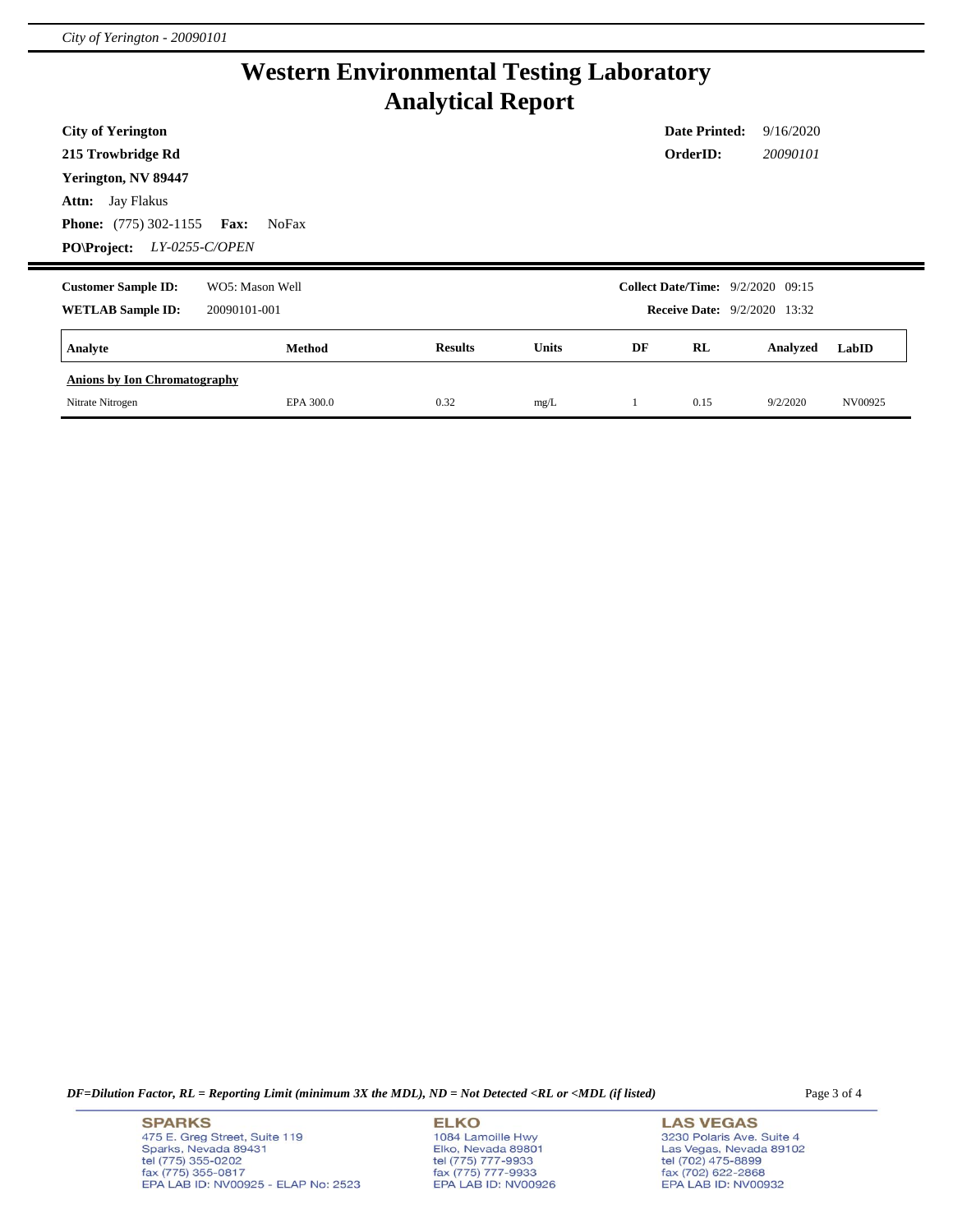# **Western Environmental Testing Laboratory Analytical Report**

| <b>City of Yerington</b>             |                             |                |       |    | <b>Date Printed:</b>                     | 9/16/2020 |       |
|--------------------------------------|-----------------------------|----------------|-------|----|------------------------------------------|-----------|-------|
| 215 Trowbridge Rd                    |                             |                |       |    | OrderID:                                 | 20090101  |       |
| Yerington, NV 89447                  |                             |                |       |    |                                          |           |       |
| <b>Attn:</b> Jay Flakus              |                             |                |       |    |                                          |           |       |
| <b>Phone:</b> $(775)$ 302-1155       | <b>Fax:</b><br><b>NoFax</b> |                |       |    |                                          |           |       |
| LY-0255-C/OPEN<br><b>PO\Project:</b> |                             |                |       |    |                                          |           |       |
|                                      |                             |                |       |    |                                          |           |       |
| <b>Customer Sample ID:</b>           | WO5: Mason Well             |                |       |    | <b>Collect Date/Time:</b> 9/2/2020 09:15 |           |       |
| <b>WETLAB Sample ID:</b>             | 20090101-001                |                |       |    | <b>Receive Date:</b> 9/2/2020 13:32      |           |       |
| Analyte                              | Method                      | <b>Results</b> | Units | DF | RL                                       | Analyzed  | LabID |
| <b>Anions by Ion Chromatography</b>  |                             |                |       |    |                                          |           |       |

*DF=Dilution Factor, RL = Reporting Limit (minimum 3X the MDL), ND = Not Detected <RL or <MDL (if listed)* Page 3 of 4

**SPARKS** 475 E. Greg Street, Suite 119 Sparks, Nevada 89431<br>tel (775) 355-0202<br>fax (775) 355-0817 EPA LAB ID: NV00925 - ELAP No: 2523 **ELKO** 1084 Lamoille Hwy Elko, Nevada 89801<br>tel (775) 777-9933<br>fax (775) 777-9933 EPA LAB ID: NV00926

**LAS VEGAS** 3230 Polaris Ave. Suite 4 Las Vegas, Nevada 89102<br>tel (702) 475-8899<br>fax (702) 622-2868<br>EPA LAB ID: NV00932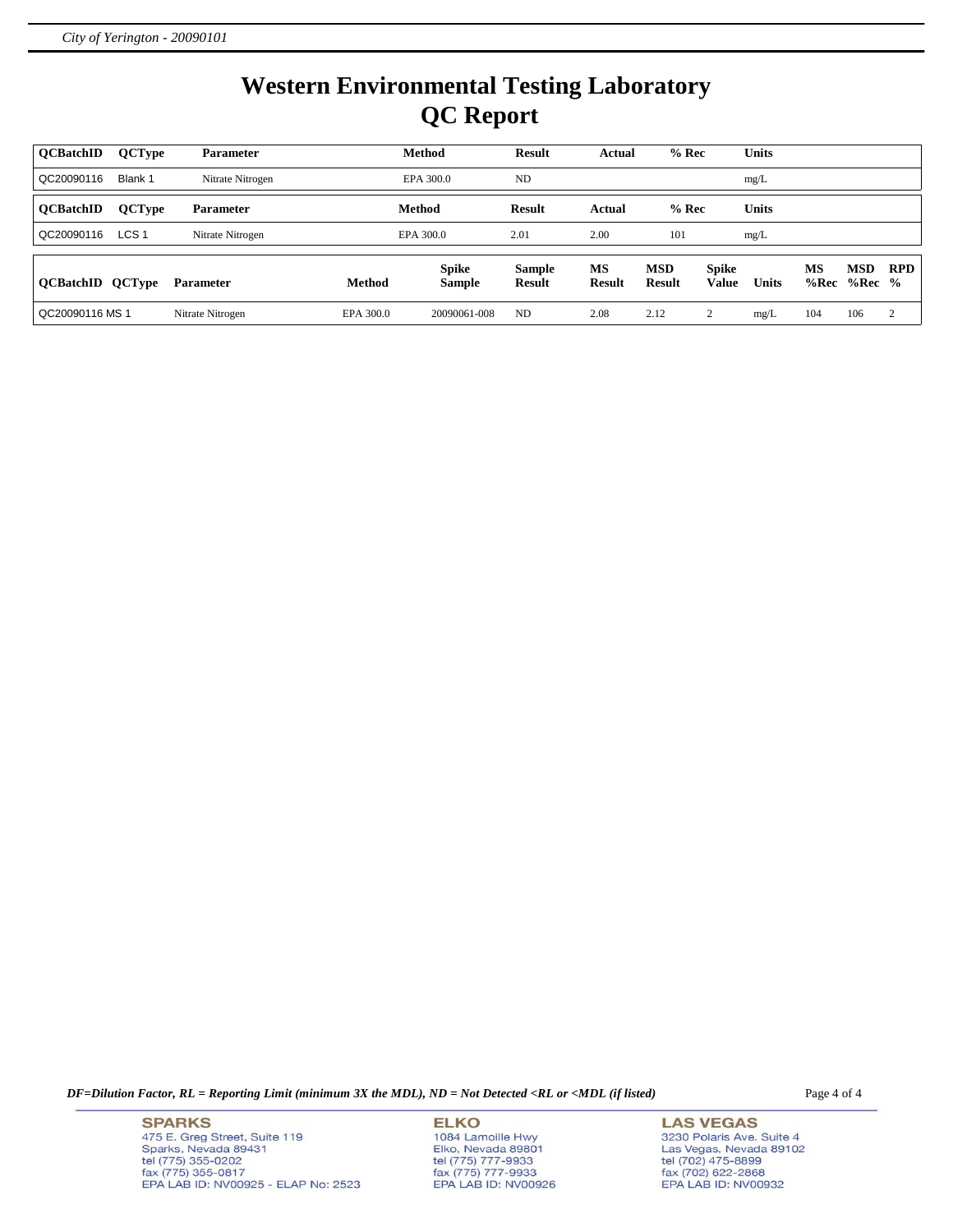# **Western Environmental Testing Laboratory QC Report**

| <b>OCBatchID</b>        | <b>QCType</b>    | <b>Parameter</b> |           | Method                 | <b>Result</b>                  | Actual              | $%$ Rec                     |                              | <b>Units</b> |            |                 |            |
|-------------------------|------------------|------------------|-----------|------------------------|--------------------------------|---------------------|-----------------------------|------------------------------|--------------|------------|-----------------|------------|
| QC20090116              | Blank 1          | Nitrate Nitrogen |           | EPA 300.0              | ND                             |                     |                             |                              | mg/L         |            |                 |            |
| <b>OCBatchID</b>        | <b>QCType</b>    | <b>Parameter</b> |           | Method                 | <b>Result</b>                  | Actual              | $%$ Rec                     |                              | <b>Units</b> |            |                 |            |
| QC20090116              | LCS <sub>1</sub> | Nitrate Nitrogen |           | EPA 300.0              | 2.01                           | 2.00                | 101                         |                              | mg/L         |            |                 |            |
| <b>QCBatchID QCType</b> |                  | <b>Parameter</b> | Method    | <b>Spike</b><br>Sample | <b>Sample</b><br><b>Result</b> | MS<br><b>Result</b> | <b>MSD</b><br><b>Result</b> | <b>Spike</b><br><b>Value</b> | <b>Units</b> | MS<br>%Rec | MSD<br>$%Rec$ % | <b>RPD</b> |
| QC20090116 MS 1         |                  | Nitrate Nitrogen | EPA 300.0 | 20090061-008           | ND                             | 2.08                | 2.12                        | $\sim$                       | mg/L         | 104        | 106             | 2          |

*DF=Dilution Factor, RL = Reporting Limit (minimum 3X the MDL), ND = Not Detected <RL or <MDL (if listed)* Page 4 of 4

**SPARKS** 475 E. Greg Street, Suite 119 Sparks, Nevada 89431<br>tel (775) 355-0202<br>fax (775) 355-0817 EPA LAB ID: NV00925 - ELAP No: 2523 **ELKO** 1084 Lamoille Hwy Elko, Nevada 89801<br>tel (775) 777-9933<br>fax (775) 777-9933 EPA LAB ID: NV00926

**LAS VEGAS** 3230 Polaris Ave. Suite 4 Las Vegas, Nevada 89102<br>tel (702) 475-8899<br>fax (702) 622-2868<br>EPA LAB ID: NV00932